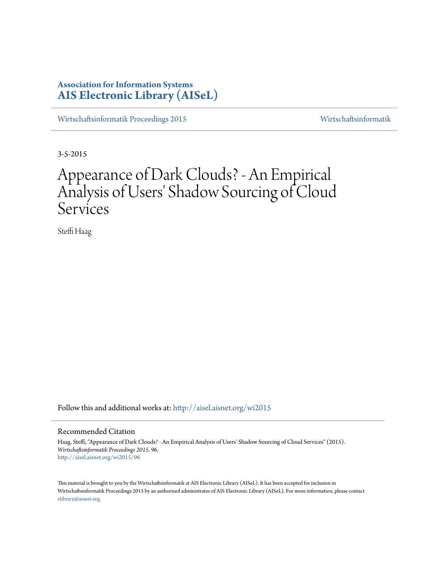# **Association for Information Systems [AIS Electronic Library \(AISeL\)](http://aisel.aisnet.org?utm_source=aisel.aisnet.org%2Fwi2015%2F96&utm_medium=PDF&utm_campaign=PDFCoverPages)**

[Wirtschaftsinformatik Proceedings 2015](http://aisel.aisnet.org/wi2015?utm_source=aisel.aisnet.org%2Fwi2015%2F96&utm_medium=PDF&utm_campaign=PDFCoverPages) [Wirtschaftsinformatik](http://aisel.aisnet.org/wi?utm_source=aisel.aisnet.org%2Fwi2015%2F96&utm_medium=PDF&utm_campaign=PDFCoverPages)

3-5-2015

# Appearance of Dark Clouds? - An Empirical Analysis of Users' Shadow Sourcing of Cloud Services

Steffi Haag

Follow this and additional works at: [http://aisel.aisnet.org/wi2015](http://aisel.aisnet.org/wi2015?utm_source=aisel.aisnet.org%2Fwi2015%2F96&utm_medium=PDF&utm_campaign=PDFCoverPages)

## Recommended Citation

Haag, Steffi, "Appearance of Dark Clouds? - An Empirical Analysis of Users' Shadow Sourcing of Cloud Services" (2015). *Wirtschaftsinformatik Proceedings 2015*. 96. [http://aisel.aisnet.org/wi2015/96](http://aisel.aisnet.org/wi2015/96?utm_source=aisel.aisnet.org%2Fwi2015%2F96&utm_medium=PDF&utm_campaign=PDFCoverPages)

This material is brought to you by the Wirtschaftsinformatik at AIS Electronic Library (AISeL). It has been accepted for inclusion in Wirtschaftsinformatik Proceedings 2015 by an authorized administrator of AIS Electronic Library (AISeL). For more information, please contact [elibrary@aisnet.org.](mailto:elibrary@aisnet.org%3E)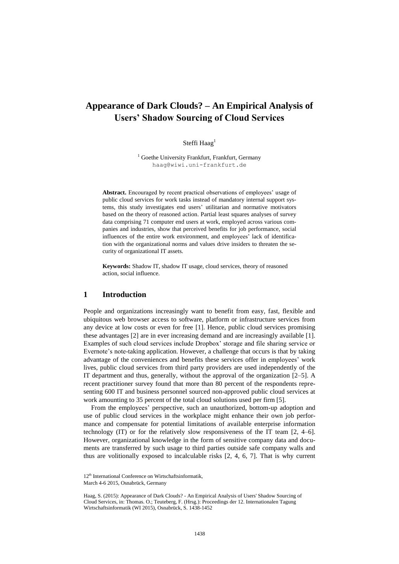# **Appearance of Dark Clouds? – An Empirical Analysis of Users' Shadow Sourcing of Cloud Services**

## Steffi Haag<sup>1</sup>

<sup>1</sup> Goethe University Frankfurt, Frankfurt, Germany haag@wiwi.uni-frankfurt.de

**Abstract.** Encouraged by recent practical observations of employees' usage of public cloud services for work tasks instead of mandatory internal support systems, this study investigates end users' utilitarian and normative motivators based on the theory of reasoned action. Partial least squares analyses of survey data comprising 71 computer end users at work, employed across various companies and industries, show that perceived benefits for job performance, social influences of the entire work environment, and employees' lack of identification with the organizational norms and values drive insiders to threaten the security of organizational IT assets.

**Keywords:** Shadow IT, shadow IT usage, cloud services, theory of reasoned action, social influence.

## **1 Introduction**

People and organizations increasingly want to benefit from easy, fast, flexible and ubiquitous web browser access to software, platform or infrastructure services from any device at low costs or even for free [1]. Hence, public cloud services promising these advantages [2] are in ever increasing demand and are increasingly available [1]. Examples of such cloud services include Dropbox' storage and file sharing service or Evernote's note-taking application. However, a challenge that occurs is that by taking advantage of the conveniences and benefits these services offer in employees' work lives, public cloud services from third party providers are used independently of the IT department and thus, generally, without the approval of the organization [2–5]. A recent practitioner survey found that more than 80 percent of the respondents representing 600 IT and business personnel sourced non-approved public cloud services at work amounting to 35 percent of the total cloud solutions used per firm [5].

From the employees' perspective, such an unauthorized, bottom-up adoption and use of public cloud services in the workplace might enhance their own job performance and compensate for potential limitations of available enterprise information technology (IT) or for the relatively slow responsiveness of the IT team [2, 4–6]. However, organizational knowledge in the form of sensitive company data and documents are transferred by such usage to third parties outside safe company walls and thus are volitionally exposed to incalculable risks [2, 4, 6, 7]. That is why current

<sup>12&</sup>lt;sup>th</sup> International Conference on Wirtschaftsinformatik,

March 4-6 2015, Osnabrück, Germany

Haag, S. (2015): Appearance of Dark Clouds? - An Empirical Analysis of Users' Shadow Sourcing of Cloud Services, in: Thomas. O.; Teuteberg, F. (Hrsg.): Proceedings der 12. Internationalen Tagung Wirtschaftsinformatik (WI 2015), Osnabrück, S. 1438-1452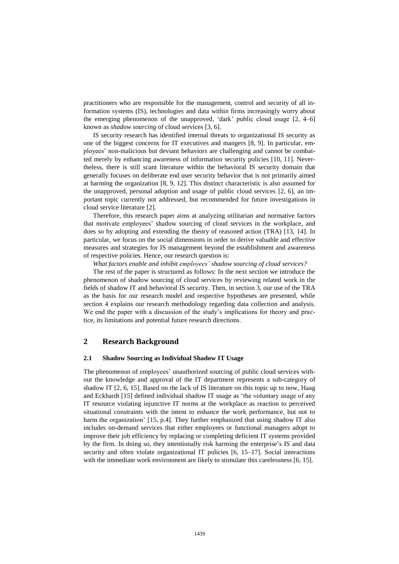practitioners who are responsible for the management, control and security of all information systems (IS), technologies and data within firms increasingly worry about the emerging phenomenon of the unapproved, 'dark' public cloud usage [2, 4–6] known as *shadow sourcing* of cloud services [3, 6].

IS security research has identified internal threats to organizational IS security as one of the biggest concerns for IT executives and mangers [8, 9]. In particular, employees' non-malicious but deviant behaviors are challenging and cannot be combatted merely by enhancing awareness of information security policies [10, 11]. Nevertheless, there is still scant literature within the behavioral IS security domain that generally focuses on deliberate end user security behavior that is not primarily aimed at harming the organization [8, 9, 12]. This distinct characteristic is also assumed for the unapproved, personal adoption and usage of public cloud services [2, 6], an important topic currently not addressed, but recommended for future investigations in cloud service literature [2].

Therefore, this research paper aims at analyzing utilitarian and normative factors that motivate employees' shadow sourcing of cloud services in the workplace, and does so by adopting and extending the theory of reasoned action (TRA) [13, 14]. In particular, we focus on the social dimensions in order to derive valuable and effective measures and strategies for IS management beyond the establishment and awareness of respective policies. Hence, our research question is:

*What factors enable and inhibit employees' shadow sourcing of cloud services?*

The rest of the paper is structured as follows: In the next section we introduce the phenomenon of shadow sourcing of cloud services by reviewing related work in the fields of shadow IT and behavioral IS security. Then, in section 3, our use of the TRA as the basis for our research model and respective hypotheses are presented, while section 4 explains our research methodology regarding data collection and analysis. We end the paper with a discussion of the study's implications for theory and practice, its limitations and potential future research directions.

## **2 Research Background**

#### **2.1 Shadow Sourcing as Individual Shadow IT Usage**

The phenomenon of employees' unauthorized sourcing of public cloud services without the knowledge and approval of the IT department represents a sub-category of shadow IT [2, 6, 15]. Based on the lack of IS literature on this topic up to now, Haag and Eckhardt [15] defined individual shadow IT usage as 'the voluntary usage of any IT resource violating injunctive IT norms at the workplace as reaction to perceived situational constraints with the intent to enhance the work performance, but not to harm the organization' [15, p.4]. They further emphasized that using shadow IT also includes on-demand services that either employees or functional managers adopt to improve their job efficiency by replacing or completing deficient IT systems provided by the firm. In doing so, they intentionally risk harming the enterprise's IS and data security and often violate organizational IT policies [6, 15–17]. Social interactions with the immediate work environment are likely to stimulate this carelessness [6, 15].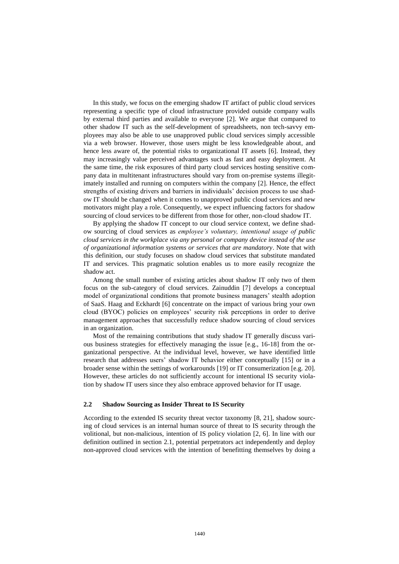In this study, we focus on the emerging shadow IT artifact of public cloud services representing a specific type of cloud infrastructure provided outside company walls by external third parties and available to everyone [2]. We argue that compared to other shadow IT such as the self-development of spreadsheets, non tech-savvy employees may also be able to use unapproved public cloud services simply accessible via a web browser. However, those users might be less knowledgeable about, and hence less aware of, the potential risks to organizational IT assets [6]. Instead, they may increasingly value perceived advantages such as fast and easy deployment. At the same time, the risk exposures of third party cloud services hosting sensitive company data in multitenant infrastructures should vary from on-premise systems illegitimately installed and running on computers within the company [2]. Hence, the effect strengths of existing drivers and barriers in individuals' decision process to use shadow IT should be changed when it comes to unapproved public cloud services and new motivators might play a role. Consequently, we expect influencing factors for shadow sourcing of cloud services to be different from those for other, non-cloud shadow IT.

By applying the shadow IT concept to our cloud service context, we define shadow sourcing of cloud services as *employee's voluntary, intentional usage of public cloud services in the workplace via any personal or company device instead of the use of organizational information systems or services that are mandatory*. Note that with this definition, our study focuses on shadow cloud services that substitute mandated IT and services. This pragmatic solution enables us to more easily recognize the shadow act.

Among the small number of existing articles about shadow IT only two of them focus on the sub-category of cloud services. Zainuddin [7] develops a conceptual model of organizational conditions that promote business managers' stealth adoption of SaaS. Haag and Eckhardt [6] concentrate on the impact of various bring your own cloud (BYOC) policies on employees' security risk perceptions in order to derive management approaches that successfully reduce shadow sourcing of cloud services in an organization.

Most of the remaining contributions that study shadow IT generally discuss various business strategies for effectively managing the issue [e.g., 16-18] from the organizational perspective. At the individual level, however, we have identified little research that addresses users' shadow IT behavior either conceptually [15] or in a broader sense within the settings of workarounds [19] or IT consumerization [e.g. 20]. However, these articles do not sufficiently account for intentional IS security violation by shadow IT users since they also embrace approved behavior for IT usage.

#### **2.2 Shadow Sourcing as Insider Threat to IS Security**

According to the extended IS security threat vector taxonomy [8, 21], shadow sourcing of cloud services is an internal human source of threat to IS security through the volitional, but non-malicious, intention of IS policy violation [2, 6]. In line with our definition outlined in section 2.1, potential perpetrators act independently and deploy non-approved cloud services with the intention of benefitting themselves by doing a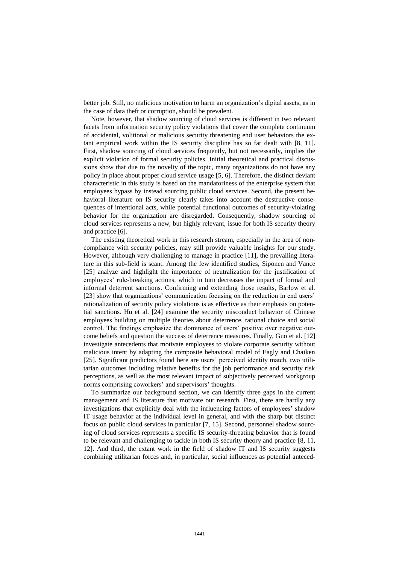better job. Still, no malicious motivation to harm an organization's digital assets, as in the case of data theft or corruption, should be prevalent.

Note, however, that shadow sourcing of cloud services is different in two relevant facets from information security policy violations that cover the complete continuum of accidental, volitional or malicious security threatening end user behaviors the extant empirical work within the IS security discipline has so far dealt with [8, 11]. First, shadow sourcing of cloud services frequently, but not necessarily, implies the explicit violation of formal security policies. Initial theoretical and practical discussions show that due to the novelty of the topic, many organizations do not have any policy in place about proper cloud service usage [5, 6]. Therefore, the distinct deviant characteristic in this study is based on the mandatoriness of the enterprise system that employees bypass by instead sourcing public cloud services. Second, the present behavioral literature on IS security clearly takes into account the destructive consequences of intentional acts, while potential functional outcomes of security-violating behavior for the organization are disregarded. Consequently, shadow sourcing of cloud services represents a new, but highly relevant, issue for both IS security theory and practice [6].

The existing theoretical work in this research stream, especially in the area of noncompliance with security policies, may still provide valuable insights for our study. However, although very challenging to manage in practice [11], the prevailing literature in this sub-field is scant. Among the few identified studies, Siponen and Vance [25] analyze and highlight the importance of neutralization for the justification of employees' rule-breaking actions, which in turn decreases the impact of formal and informal deterrent sanctions. Confirming and extending those results, Barlow et al. [23] show that organizations' communication focusing on the reduction in end users' rationalization of security policy violations is as effective as their emphasis on potential sanctions. Hu et al. [24] examine the security misconduct behavior of Chinese employees building on multiple theories about deterrence, rational choice and social control. The findings emphasize the dominance of users' positive over negative outcome beliefs and question the success of deterrence measures. Finally, Guo et al. [12] investigate antecedents that motivate employees to violate corporate security without malicious intent by adapting the composite behavioral model of Eagly and Chaiken [25]. Significant predictors found here are users' perceived identity match, two utilitarian outcomes including relative benefits for the job performance and security risk perceptions, as well as the most relevant impact of subjectively perceived workgroup norms comprising coworkers' and supervisors' thoughts.

To summarize our background section, we can identify three gaps in the current management and IS literature that motivate our research. First, there are hardly any investigations that explicitly deal with the influencing factors of employees' shadow IT usage behavior at the individual level in general, and with the sharp but distinct focus on public cloud services in particular [7, 15]. Second, personnel shadow sourcing of cloud services represents a specific IS security-threating behavior that is found to be relevant and challenging to tackle in both IS security theory and practice [8, 11, 12]. And third, the extant work in the field of shadow IT and IS security suggests combining utilitarian forces and, in particular, social influences as potential anteced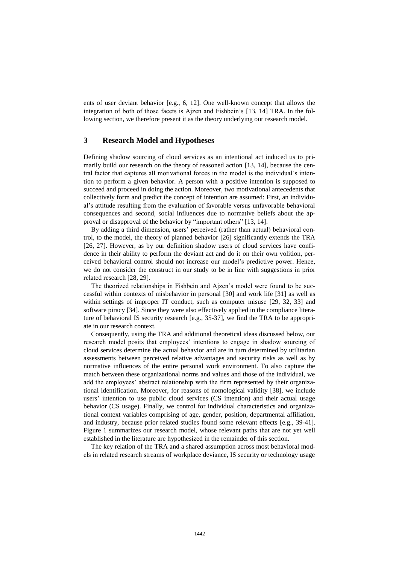ents of user deviant behavior [e.g., 6, 12]. One well-known concept that allows the integration of both of those facets is Ajzen and Fishbein's [13, 14] TRA. In the following section, we therefore present it as the theory underlying our research model.

## **3 Research Model and Hypotheses**

Defining shadow sourcing of cloud services as an intentional act induced us to primarily build our research on the theory of reasoned action [13, 14], because the central factor that captures all motivational forces in the model is the individual's intention to perform a given behavior. A person with a positive intention is supposed to succeed and proceed in doing the action. Moreover, two motivational antecedents that collectively form and predict the concept of intention are assumed: First, an individual's attitude resulting from the evaluation of favorable versus unfavorable behavioral consequences and second, social influences due to normative beliefs about the approval or disapproval of the behavior by "important others" [13, 14].

By adding a third dimension, users' perceived (rather than actual) behavioral control, to the model, the theory of planned behavior [26] significantly extends the TRA [26, 27]. However, as by our definition shadow users of cloud services have confidence in their ability to perform the deviant act and do it on their own volition, perceived behavioral control should not increase our model's predictive power. Hence, we do not consider the construct in our study to be in line with suggestions in prior related research [28, 29].

The theorized relationships in Fishbein and Ajzen's model were found to be successful within contexts of misbehavior in personal [30] and work life [31] as well as within settings of improper IT conduct, such as computer misuse [29, 32, 33] and software piracy [34]. Since they were also effectively applied in the compliance literature of behavioral IS security research [e.g., 35-37], we find the TRA to be appropriate in our research context.

Consequently, using the TRA and additional theoretical ideas discussed below, our research model posits that employees' intentions to engage in shadow sourcing of cloud services determine the actual behavior and are in turn determined by utilitarian assessments between perceived relative advantages and security risks as well as by normative influences of the entire personal work environment. To also capture the match between these organizational norms and values and those of the individual, we add the employees' abstract relationship with the firm represented by their organizational identification. Moreover, for reasons of nomological validity [38], we include users' intention to use public cloud services (CS intention) and their actual usage behavior (CS usage). Finally, we control for individual characteristics and organizational context variables comprising of age, gender, position, departmental affiliation, and industry, because prior related studies found some relevant effects [e.g., 39-41]. Figure 1 summarizes our research model, whose relevant paths that are not yet well established in the literature are hypothesized in the remainder of this section.

The key relation of the TRA and a shared assumption across most behavioral models in related research streams of workplace deviance, IS security or technology usage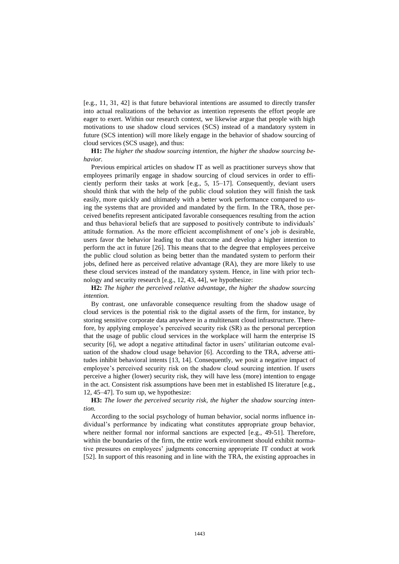[e.g., 11, 31, 42] is that future behavioral intentions are assumed to directly transfer into actual realizations of the behavior as intention represents the effort people are eager to exert. Within our research context, we likewise argue that people with high motivations to use shadow cloud services (SCS) instead of a mandatory system in future (SCS intention) will more likely engage in the behavior of shadow sourcing of cloud services (SCS usage), and thus:

**H1:** *The higher the shadow sourcing intention, the higher the shadow sourcing behavior.*

Previous empirical articles on shadow IT as well as practitioner surveys show that employees primarily engage in shadow sourcing of cloud services in order to efficiently perform their tasks at work [e.g., 5, 15–17]. Consequently, deviant users should think that with the help of the public cloud solution they will finish the task easily, more quickly and ultimately with a better work performance compared to using the systems that are provided and mandated by the firm. In the TRA, those perceived benefits represent anticipated favorable consequences resulting from the action and thus behavioral beliefs that are supposed to positively contribute to individuals' attitude formation. As the more efficient accomplishment of one's job is desirable, users favor the behavior leading to that outcome and develop a higher intention to perform the act in future [26]. This means that to the degree that employees perceive the public cloud solution as being better than the mandated system to perform their jobs, defined here as perceived relative advantage (RA), they are more likely to use these cloud services instead of the mandatory system. Hence, in line with prior technology and security research [e.g., 12, 43, 44], we hypothesize:

**H2:** *The higher the perceived relative advantage, the higher the shadow sourcing intention.*

By contrast, one unfavorable consequence resulting from the shadow usage of cloud services is the potential risk to the digital assets of the firm, for instance, by storing sensitive corporate data anywhere in a multitenant cloud infrastructure. Therefore, by applying employee's perceived security risk (SR) as the personal perception that the usage of public cloud services in the workplace will harm the enterprise IS security [6], we adopt a negative attitudinal factor in users' utilitarian outcome evaluation of the shadow cloud usage behavior [6]. According to the TRA, adverse attitudes inhibit behavioral intents [13, 14]. Consequently, we posit a negative impact of employee's perceived security risk on the shadow cloud sourcing intention. If users perceive a higher (lower) security risk, they will have less (more) intention to engage in the act. Consistent risk assumptions have been met in established IS literature [e.g., 12, 45–47]. To sum up, we hypothesize:

**H3:** *The lower the perceived security risk, the higher the shadow sourcing intention.*

According to the social psychology of human behavior, social norms influence individual's performance by indicating what constitutes appropriate group behavior, where neither formal nor informal sanctions are expected [e.g., 49-51]. Therefore, within the boundaries of the firm, the entire work environment should exhibit normative pressures on employees' judgments concerning appropriate IT conduct at work [52]. In support of this reasoning and in line with the TRA, the existing approaches in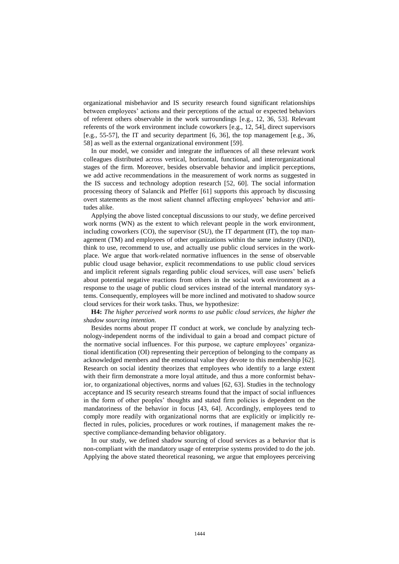organizational misbehavior and IS security research found significant relationships between employees' actions and their perceptions of the actual or expected behaviors of referent others observable in the work surroundings [e.g., 12, 36, 53]. Relevant referents of the work environment include coworkers [e.g., 12, 54], direct supervisors [e.g., 55-57], the IT and security department [6, 36], the top management [e.g., 36, 58] as well as the external organizational environment [59].

In our model, we consider and integrate the influences of all these relevant work colleagues distributed across vertical, horizontal, functional, and interorganizational stages of the firm. Moreover, besides observable behavior and implicit perceptions, we add active recommendations in the measurement of work norms as suggested in the IS success and technology adoption research [52, 60]. The social information processing theory of Salancik and Pfeffer [61] supports this approach by discussing overt statements as the most salient channel affecting employees' behavior and attitudes alike.

Applying the above listed conceptual discussions to our study, we define perceived work norms (WN) as the extent to which relevant people in the work environment, including coworkers (CO), the supervisor (SU), the IT department (IT), the top management (TM) and employees of other organizations within the same industry (IND), think to use, recommend to use, and actually use public cloud services in the workplace. We argue that work-related normative influences in the sense of observable public cloud usage behavior, explicit recommendations to use public cloud services and implicit referent signals regarding public cloud services, will ease users' beliefs about potential negative reactions from others in the social work environment as a response to the usage of public cloud services instead of the internal mandatory systems. Consequently, employees will be more inclined and motivated to shadow source cloud services for their work tasks. Thus, we hypothesize:

**H4:** *The higher perceived work norms to use public cloud services, the higher the shadow sourcing intention.*

Besides norms about proper IT conduct at work, we conclude by analyzing technology-independent norms of the individual to gain a broad and compact picture of the normative social influences. For this purpose, we capture employees' organizational identification (OI) representing their perception of belonging to the company as acknowledged members and the emotional value they devote to this membership [62]. Research on social identity theorizes that employees who identify to a large extent with their firm demonstrate a more loyal attitude, and thus a more conformist behavior, to organizational objectives, norms and values [62, 63]. Studies in the technology acceptance and IS security research streams found that the impact of social influences in the form of other peoples' thoughts and stated firm policies is dependent on the mandatoriness of the behavior in focus [43, 64]. Accordingly, employees tend to comply more readily with organizational norms that are explicitly or implicitly reflected in rules, policies, procedures or work routines, if management makes the respective compliance-demanding behavior obligatory.

In our study, we defined shadow sourcing of cloud services as a behavior that is non-compliant with the mandatory usage of enterprise systems provided to do the job. Applying the above stated theoretical reasoning, we argue that employees perceiving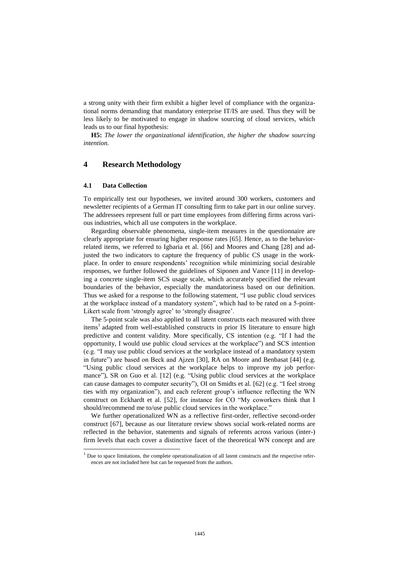a strong unity with their firm exhibit a higher level of compliance with the organizational norms demanding that mandatory enterprise IT/IS are used. Thus they will be less likely to be motivated to engage in shadow sourcing of cloud services, which leads us to our final hypothesis:

**H5:** *The lower the organizational identification, the higher the shadow sourcing intention.*

## **4 Research Methodology**

#### **4.1 Data Collection**

 $\overline{a}$ 

To empirically test our hypotheses, we invited around 300 workers, customers and newsletter recipients of a German IT consulting firm to take part in our online survey. The addressees represent full or part time employees from differing firms across various industries, which all use computers in the workplace.

Regarding observable phenomena, single-item measures in the questionnaire are clearly appropriate for ensuring higher response rates [65]. Hence, as to the behaviorrelated items, we referred to Igbaria et al. [66] and Moores and Chang [28] and adjusted the two indicators to capture the frequency of public CS usage in the workplace. In order to ensure respondents' recognition while minimizing social desirable responses, we further followed the guidelines of Siponen and Vance [11] in developing a concrete single-item SCS usage scale, which accurately specified the relevant boundaries of the behavior, especially the mandatoriness based on our definition. Thus we asked for a response to the following statement, "I use public cloud services at the workplace instead of a mandatory system", which had to be rated on a 5-point-Likert scale from 'strongly agree' to 'strongly disagree'.

The 5-point scale was also applied to all latent constructs each measured with three items<sup>1</sup> adapted from well-established constructs in prior IS literature to ensure high predictive and content validity. More specifically, CS intention (e.g. "If I had the opportunity, I would use public cloud services at the workplace") and SCS intention (e.g. "I may use public cloud services at the workplace instead of a mandatory system in future") are based on Beck and Ajzen [30], RA on Moore and Benbasat [44] (e.g. "Using public cloud services at the workplace helps to improve my job performance"), SR on Guo et al. [12] (e.g. "Using public cloud services at the workplace can cause damages to computer security"), OI on Smidts et al. [62] (e.g. "I feel strong ties with my organization"), and each referent group's influence reflecting the WN construct on Eckhardt et al. [52], for instance for CO "My coworkers think that I should/recommend me to/use public cloud services in the workplace."

We further operationalized WN as a reflective first-order, reflective second-order construct [67], because as our literature review shows social work-related norms are reflected in the behavior, statements and signals of referents across various (inter-) firm levels that each cover a distinctive facet of the theoretical WN concept and are

 $<sup>1</sup>$  Due to space limitations, the complete operationalization of all latent constructs and the respective refer-</sup> ences are not included here but can be requested from the authors.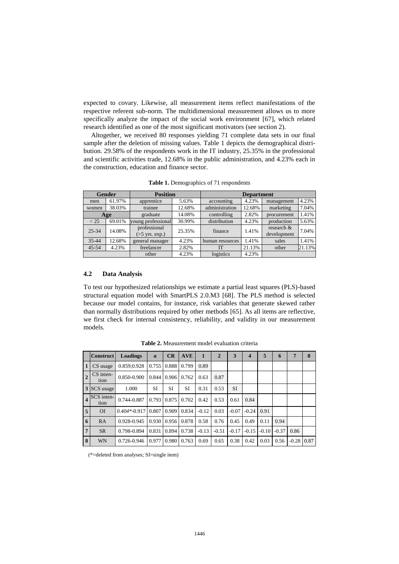expected to covary. Likewise, all measurement items reflect manifestations of the respective referent sub-norm. The multidimensional measurement allows us to more specifically analyze the impact of the social work environment [67], which related research identified as one of the most significant motivators (see section 2).

Altogether, we received 80 responses yielding 71 complete data sets in our final sample after the deletion of missing values. Table 1 depicts the demographical distribution. 29.58% of the respondents work in the IT industry, 25.35% in the professional and scientific activities trade, 12.68% in the public administration, and 4.23% each in the construction, education and finance sector.

| <b>Gender</b> |        | <b>Position</b>                                  |        | <b>Department</b> |        |                           |        |  |  |
|---------------|--------|--------------------------------------------------|--------|-------------------|--------|---------------------------|--------|--|--|
| men           | 61.97% | apprentice                                       | 5.63%  | accounting        | 4.23%  | management                | 4.23%  |  |  |
| women         | 38.03% | trainee                                          | 12.68% | administration    | 12.68% | marketing                 | 7.04%  |  |  |
| Age           |        | graduate                                         | 14.08% | controlling       | 2.82%  | procurement               | 1.41%  |  |  |
| $<$ 25        | 69.01% | young professional                               | 30.99% | distribution      | 4.23%  | production                | 5.63%  |  |  |
| $25 - 34$     | 14.08% | professional<br>$(55 \text{ yrs. } \text{exp.})$ | 25.35% | finance           | 1.41%  | research &<br>development | 7.04%  |  |  |
| 35-44         | 12.68% | general manager                                  | 4.23%  | human resources   | 1.41%  | sales                     | 1.41%  |  |  |
| $45 - 54$     | 4.23%  | freelancer                                       | 2.82%  | <b>IT</b>         | 21.13% | other                     | 21.13% |  |  |
|               |        | other                                            | 4.23%  | logistics         | 4.23%  |                           |        |  |  |

**Table 1.** Demographics of 71 respondents

#### **4.2 Data Analysis**

To test our hypothesized relationships we estimate a partial least squares (PLS)-based structural equation model with SmartPLS 2.0.M3 [68]. The PLS method is selected because our model contains, for instance, risk variables that generate skewed rather than normally distributions required by other methods [65]. As all items are reflective, we first check for internal consistency, reliability, and validity in our measurement models.

|                         | <b>Construct</b>    | <b>Loadings</b> | $\alpha$  | CR                  | <b>AVE</b> | 1       | $\mathbf{2}$ | 3         | 4       | 5       | 6       | 7            | 8 |
|-------------------------|---------------------|-----------------|-----------|---------------------|------------|---------|--------------|-----------|---------|---------|---------|--------------|---|
| $\mathbf{1}$            | CS usage            | 0.859;0.928     | 0.755     | 0.888               | 0.799      | 0.89    |              |           |         |         |         |              |   |
| $\overline{2}$          | $CS$ inten-<br>tion | 0.850-0.900     |           | $0.844 \cdot 0.906$ | 0.762      | 0.63    | 0.87         |           |         |         |         |              |   |
|                         | 3 SCS usage         | 1.000           | <b>SI</b> | <b>SI</b>           | SI         | 0.31    | 0.53         | <b>SI</b> |         |         |         |              |   |
| $\overline{\mathbf{4}}$ | SCS inten-<br>tion  | 0.744-0.887     |           | $0.793 \ 0.875$     | 0.702      | 0.42    | 0.53         | 0.61      | 0.84    |         |         |              |   |
| $\overline{5}$          | O <sub>I</sub>      | $0.404*-0.917$  | 0.807     | 0.909               | 0.834      | $-0.12$ | 0.03         | $-0.07$   | $-0.24$ | 0.91    |         |              |   |
| 6                       | RA                  | 0.928-0.945     |           | $0.930 \cdot 0.956$ | 0.878      | 0.58    | 0.76         | 0.45      | 0.49    | 0.11    | 0.94    |              |   |
| $\overline{7}$          | <b>SR</b>           | 0.798-0.894     | 0.831     | 0.894               | 0.738      | $-0.13$ | $-0.51$      | $-0.17$   | $-0.15$ | $-0.10$ | $-0.37$ | 0.86         |   |
| 8                       | WN                  | 0.726-0.946     | 0.977     | 0.980               | 0.763      | 0.69    | 0.65         | 0.38      | 0.42    | 0.03    | 0.56    | $-0.28$ 0.87 |   |

**Table 2.** Measurement model evaluation criteria

(\*=deleted from analyses; SI=single item)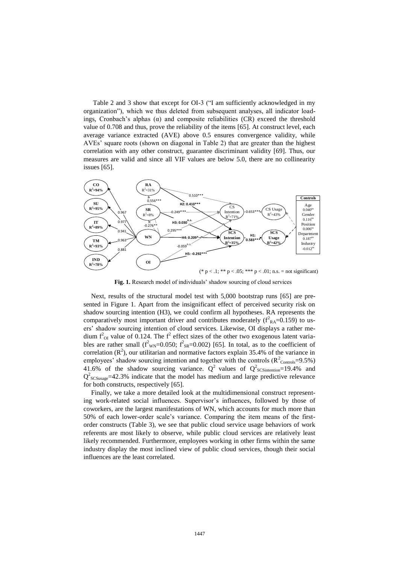Table 2 and 3 show that except for OI-3 ("I am sufficiently acknowledged in my organization"), which we thus deleted from subsequent analyses, all indicator loadings, Cronbach's alphas  $(\alpha)$  and composite reliabilities (CR) exceed the threshold value of 0.708 and thus, prove the reliability of the items [65]. At construct level, each average variance extracted (AVE) above 0.5 ensures convergence validity, while AVEs' square roots (shown on diagonal in Table 2) that are greater than the highest correlation with any other construct, guarantee discriminant validity [69]. Thus, our measures are valid and since all VIF values are below 5.0, there are no collinearity



Fig. 1. Research model of individuals' shadow sourcing of cloud services

Next, results of the structural model test with 5,000 bootstrap runs [65] are presented in Figure 1. Apart from the insignificant effect of perceived security risk on shadow sourcing intention (H3), we could confirm all hypotheses. RA represents the comparatively most important driver and contributes moderately  $(f_{RA}^2=0.159)$  to users' shadow sourcing intention of cloud services. Likewise, OI displays a rather medium  $f_{\text{OI}}^2$  value of 0.124. The  $f^2$  effect sizes of the other two exogenous latent variables are rather small ( $f_{\text{WN}}^2$ =0.050;  $f_{\text{SR}}^2$ =0.002) [65]. In total, as to the coefficient of correlation  $(R^2)$ , our utilitarian and normative factors explain 35.4% of the variance in employees' shadow sourcing intention and together with the controls  $(R^2_{\text{Controls}}=9.5\%)$ 41.6% of the shadow sourcing variance.  $Q^2$  values of  $Q^2$ <sub>SCSintention</sub>=19.4% and  $Q_{SCSusage}^2$ =42.3% indicate that the model has medium and large predictive relevance for both constructs, respectively [65].

Finally, we take a more detailed look at the multidimensional construct representing work-related social influences. Supervisor's influences, followed by those of coworkers, are the largest manifestations of WN, which accounts for much more than 50% of each lower-order scale's variance. Comparing the item means of the firstorder constructs (Table 3), we see that public cloud service usage behaviors of work referents are most likely to observe, while public cloud services are relatively least likely recommended. Furthermore, employees working in other firms within the same industry display the most inclined view of public cloud services, though their social influences are the least correlated.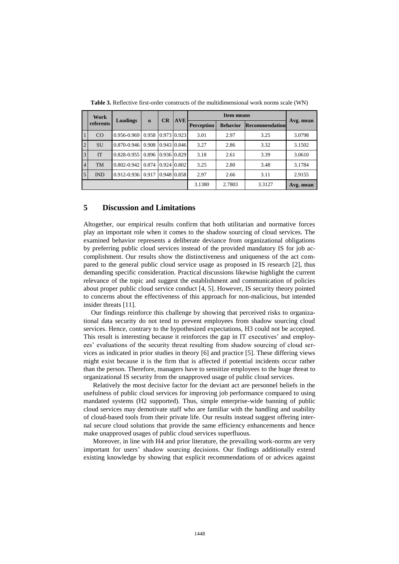|                | Work<br>referents | Loadings        | $\alpha$ | CR          | <b>AVE</b>  |                   |                 |                |           |
|----------------|-------------------|-----------------|----------|-------------|-------------|-------------------|-----------------|----------------|-----------|
|                |                   |                 |          |             |             | <b>Perception</b> | <b>Behavior</b> | Recommendation | Avg. mean |
|                | CO                | 0.956-0.969     | 0.958    | 0.973 0.923 |             | 3.01              | 2.97            | 3.25           | 3.0798    |
| 2              | <b>SU</b>         | $0.870 - 0.946$ | 0.908    |             | 0.943 0.846 | 3.27              | 2.86            | 3.32           | 3.1502    |
| $\overline{3}$ | <b>IT</b>         | $0.828 - 0.955$ | 0.896    |             | 0.936 0.829 | 3.18              | 2.61            | 3.39           | 3.0610    |
| $\overline{4}$ | <b>TM</b>         | $0.802 - 0.942$ | 0.874    |             | 0.924 0.802 | 3.25              | 2.80            | 3.48           | 3.1784    |
| $\overline{5}$ | <b>IND</b>        | $0.912 - 0.936$ | 0.917    |             | 0.948 0.858 | 2.97              | 2.66            | 3.11           | 2.9155    |
|                |                   |                 |          |             |             | 3.1380            | 2.7803          | 3.3127         | Avg. mean |

**Table 3.** Reflective first-order constructs of the multidimensional work norms scale (WN)

## **5 Discussion and Limitations**

Altogether, our empirical results confirm that both utilitarian and normative forces play an important role when it comes to the shadow sourcing of cloud services. The examined behavior represents a deliberate deviance from organizational obligations by preferring public cloud services instead of the provided mandatory IS for job accomplishment. Our results show the distinctiveness and uniqueness of the act compared to the general public cloud service usage as proposed in IS research [2], thus demanding specific consideration. Practical discussions likewise highlight the current relevance of the topic and suggest the establishment and communication of policies about proper public cloud service conduct [4, 5]. However, IS security theory pointed to concerns about the effectiveness of this approach for non-malicious, but intended insider threats [11].

Our findings reinforce this challenge by showing that perceived risks to organizational data security do not tend to prevent employees from shadow sourcing cloud services. Hence, contrary to the hypothesized expectations, H3 could not be accepted. This result is interesting because it reinforces the gap in IT executives' and employees' evaluations of the security threat resulting from shadow sourcing of cloud services as indicated in prior studies in theory [6] and practice [5]. These differing views might exist because it is the firm that is affected if potential incidents occur rather than the person. Therefore, managers have to sensitize employees to the huge threat to organizational IS security from the unapproved usage of public cloud services.

Relatively the most decisive factor for the deviant act are personnel beliefs in the usefulness of public cloud services for improving job performance compared to using mandated systems (H2 supported). Thus, simple enterprise-wide banning of public cloud services may demotivate staff who are familiar with the handling and usability of cloud-based tools from their private life. Our results instead suggest offering internal secure cloud solutions that provide the same efficiency enhancements and hence make unapproved usages of public cloud services superfluous.

Moreover, in line with H4 and prior literature, the prevailing work-norms are very important for users' shadow sourcing decisions. Our findings additionally extend existing knowledge by showing that explicit recommendations of or advices against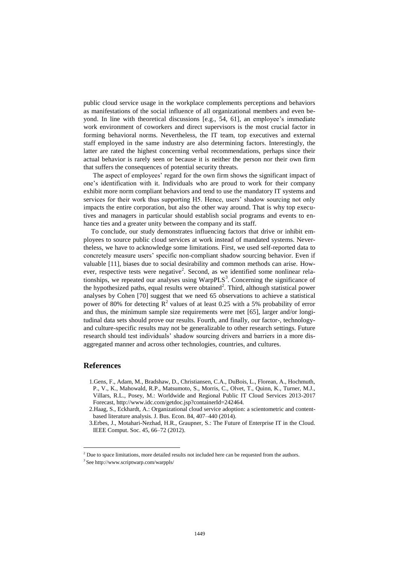public cloud service usage in the workplace complements perceptions and behaviors as manifestations of the social influence of all organizational members and even beyond. In line with theoretical discussions [e.g., 54, 61], an employee's immediate work environment of coworkers and direct supervisors is the most crucial factor in forming behavioral norms. Nevertheless, the IT team, top executives and external staff employed in the same industry are also determining factors. Interestingly, the latter are rated the highest concerning verbal recommendations, perhaps since their actual behavior is rarely seen or because it is neither the person nor their own firm that suffers the consequences of potential security threats.

The aspect of employees' regard for the own firm shows the significant impact of one's identification with it. Individuals who are proud to work for their company exhibit more norm compliant behaviors and tend to use the mandatory IT systems and services for their work thus supporting H5. Hence, users' shadow sourcing not only impacts the entire corporation, but also the other way around. That is why top executives and managers in particular should establish social programs and events to enhance ties and a greater unity between the company and its staff.

To conclude, our study demonstrates influencing factors that drive or inhibit employees to source public cloud services at work instead of mandated systems. Nevertheless, we have to acknowledge some limitations. First, we used self-reported data to concretely measure users' specific non-compliant shadow sourcing behavior. Even if valuable [11], biases due to social desirability and common methods can arise. However, respective tests were negative<sup>2</sup>. Second, as we identified some nonlinear relationships, we repeated our analyses using  $WarpPLS<sup>3</sup>$ . Concerning the significance of the hypothesized paths, equal results were obtained<sup>2</sup>. Third, although statistical power analyses by Cohen [70] suggest that we need 65 observations to achieve a statistical power of 80% for detecting  $R^2$  values of at least 0.25 with a 5% probability of error and thus, the minimum sample size requirements were met [65], larger and/or longitudinal data sets should prove our results. Fourth, and finally, our factor-, technologyand culture-specific results may not be generalizable to other research settings. Future research should test individuals' shadow sourcing drivers and barriers in a more disaggregated manner and across other technologies, countries, and cultures.

## **References**

 $\overline{a}$ 

1.Gens, F., Adam, M., Bradshaw, D., Christiansen, C.A., DuBois, L., Florean, A., Hochmuth, P., V., K., Mahowald, R.P., Matsumoto, S., Morris, C., Olvet, T., Quinn, K., Turner, M.J., Villars, R.L., Posey, M.: Worldwide and Regional Public IT Cloud Services 2013-2017 Forecast, http://www.idc.com/getdoc.jsp?containerId=242464.

2.Haag, S., Eckhardt, A.: Organizational cloud service adoption: a scientometric and contentbased literature analysis. J. Bus. Econ. 84, 407–440 (2014).

<sup>3.</sup>Erbes, J., Motahari-Nezhad, H.R., Graupner, S.: The Future of Enterprise IT in the Cloud. IEEE Comput. Soc. 45, 66–72 (2012).

<sup>&</sup>lt;sup>2</sup> Due to space limitations, more detailed results not included here can be requested from the authors.

<sup>3</sup> See http://www.scriptwarp.com/warppls/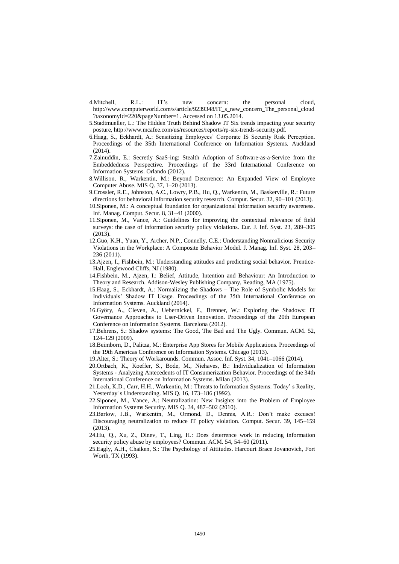- 4.Mitchell, R.L.: IT's new concern: the personal cloud, http://www.computerworld.com/s/article/9239348/IT\_s\_new\_concern\_The\_personal\_cloud ?taxonomyId=220&pageNumber=1. Accessed on 13.05.2014.
- 5.Stadtmueller, L.: The Hidden Truth Behind Shadow IT Six trends impacting your security posture, http://www.mcafee.com/us/resources/reports/rp-six-trends-security.pdf.
- 6.Haag, S., Eckhardt, A.: Sensitizing Employees' Corporate IS Security Risk Perception. Proceedings of the 35th International Conference on Information Systems. Auckland (2014).
- 7.Zainuddin, E.: Secretly SaaS-ing: Stealth Adoption of Software-as-a-Service from the Embeddedness Perspective. Proceedings of the 33rd International Conference on Information Systems. Orlando (2012).
- 8.Willison, R., Warkentin, M.: Beyond Deterrence: An Expanded View of Employee Computer Abuse. MIS Q. 37, 1–20 (2013).
- 9.Crossler, R.E., Johnston, A.C., Lowry, P.B., Hu, Q., Warkentin, M., Baskerville, R.: Future directions for behavioral information security research. Comput. Secur. 32, 90–101 (2013).
- 10.Siponen, M.: A conceptual foundation for organizational information security awareness. Inf. Manag. Comput. Secur. 8, 31–41 (2000).
- 11.Siponen, M., Vance, A.: Guidelines for improving the contextual relevance of field surveys: the case of information security policy violations. Eur. J. Inf. Syst. 23, 289–305 (2013).
- 12.Guo, K.H., Yuan, Y., Archer, N.P., Connelly, C.E.: Understanding Nonmalicious Security Violations in the Workplace: A Composite Behavior Model. J. Manag. Inf. Syst. 28, 203– 236 (2011).
- 13.Ajzen, I., Fishbein, M.: Understanding attitudes and predicting social behavior. Prentice-Hall, Englewood Cliffs, NJ (1980).
- 14.Fishbein, M., Ajzen, I.: Belief, Attitude, Intention and Behaviour: An Introduction to Theory and Research. Addison-Wesley Publishing Company, Reading, MA (1975).
- 15.Haag, S., Eckhardt, A.: Normalizing the Shadows The Role of Symbolic Models for Individuals' Shadow IT Usage. Proceedings of the 35th International Conference on Information Systems. Auckland (2014).
- 16.Györy, A., Cleven, A., Uebernickel, F., Brenner, W.: Exploring the Shadows: IT Governance Approaches to User-Driven Innovation. Proceedings of the 20th European Conference on Information Systems. Barcelona (2012).
- 17.Behrens, S.: Shadow systems: The Good, The Bad and The Ugly. Commun. ACM. 52, 124–129 (2009).
- 18.Beimborn, D., Palitza, M.: Enterprise App Stores for Mobile Applications. Proceedings of the 19th Americas Conference on Information Systems. Chicago (2013).
- 19.Alter, S.: Theory of Workarounds. Commun. Assoc. Inf. Syst. 34, 1041–1066 (2014).
- 20.Ortbach, K., Koeffer, S., Bode, M., Niehaves, B.: Individualization of Information Systems - Analyzing Antecedents of IT Consumerization Behavior. Proceedings of the 34th International Conference on Information Systems. Milan (2013).
- 21.Loch, K.D., Carr, H.H., Warkentin, M.: Threats to Information Systems: Today' s Reality, Yesterday' s Understanding. MIS Q. 16, 173–186 (1992).
- 22.Siponen, M., Vance, A.: Neutralization: New Insights into the Problem of Employee Information Systems Security. MIS Q. 34, 487–502 (2010).
- 23.Barlow, J.B., Warkentin, M., Ormond, D., Dennis, A.R.: Don't make excuses! Discouraging neutralization to reduce IT policy violation. Comput. Secur. 39, 145–159 (2013).
- 24.Hu, Q., Xu, Z., Dinev, T., Ling, H.: Does deterrence work in reducing information security policy abuse by employees? Commun. ACM. 54, 54–60 (2011).
- 25.Eagly, A.H., Chaiken, S.: The Psychology of Attitudes. Harcourt Brace Jovanovich, Fort Worth, TX (1993).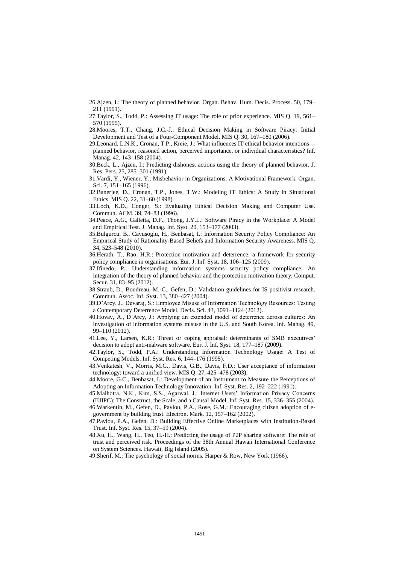26.Ajzen, I.: The theory of planned behavior. Organ. Behav. Hum. Decis. Process. 50, 179– 211 (1991).

- 27.Taylor, S., Todd, P.: Assessing IT usage: The role of prior experience. MIS Q. 19, 561– 570 (1995).
- 28.Moores, T.T., Chang, J.C.-J.: Ethical Decision Making in Software Piracy: Initial Development and Test of a Four-Component Model. MIS Q. 30, 167–180 (2006).
- 29.Leonard, L.N.K., Cronan, T.P., Kreie, J.: What influences IT ethical behavior intentions planned behavior, reasoned action, perceived importance, or individual characteristics? Inf. Manag. 42, 143–158 (2004).
- 30.Beck, L., Ajzen, I.: Predicting dishonest actions using the theory of planned behavior. J. Res. Pers. 25, 285–301 (1991).
- 31.Vardi, Y., Wiener, Y.: Misbehavior in Organizations: A Motivational Framework. Organ. Sci. 7, 151–165 (1996).
- 32.Banerjee, D., Cronan, T.P., Jones, T.W.: Modeling IT Ethics: A Study in Situational Ethics. MIS Q. 22, 31–60 (1998).
- 33.Loch, K.D., Conger, S.: Evaluating Ethical Decision Making and Computer Use. Commun. ACM. 39, 74–83 (1996).
- 34.Peace, A.G., Galletta, D.F., Thong, J.Y.L.: Software Piracy in the Workplace: A Model and Empirical Test. J. Manag. Inf. Syst. 20, 153–177 (2003).
- 35.Bulgurcu, B., Cavusoglu, H., Benbasat, I.: Information Security Policy Compliance: An Empirical Study of Rationality-Based Beliefs and Information Security Awareness. MIS Q. 34, 523–548 (2010).
- 36.Herath, T., Rao, H.R.: Protection motivation and deterrence: a framework for security policy compliance in organisations. Eur. J. Inf. Syst. 18, 106–125 (2009).
- 37.Ifinedo, P.: Understanding information systems security policy compliance: An integration of the theory of planned behavior and the protection motivation theory. Comput. Secur. 31, 83–95 (2012).
- 38.Straub, D., Boudreau, M.-C., Gefen, D.: Validation guidelines for IS positivist research. Commun. Assoc. Inf. Syst. 13, 380–427 (2004).
- 39.D'Arcy, J., Devaraj, S.: Employee Misuse of Information Technology Resources: Testing a Contemporary Deterrence Model. Decis. Sci. 43, 1091–1124 (2012).
- 40.Hovav, A., D'Arcy, J.: Applying an extended model of deterrence across cultures: An investigation of information systems misuse in the U.S. and South Korea. Inf. Manag. 49, 99–110 (2012).
- 41.Lee, Y., Larsen, K.R.: Threat or coping appraisal: determinants of SMB executives' decision to adopt anti-malware software. Eur. J. Inf. Syst. 18, 177–187 (2009).
- 42.Taylor, S., Todd, P.A.: Understanding Information Technology Usage: A Test of Competing Models. Inf. Syst. Res. 6, 144–176 (1995).
- 43.Venkatesh, V., Morris, M.G., Davis, G.B., Davis, F.D.: User acceptance of information technology: toward a unified view. MIS Q. 27, 425–478 (2003).
- 44.Moore, G.C., Benbasat, I.: Development of an Instrument to Measure the Perceptions of Adopting an Information Technology Innovation. Inf. Syst. Res. 2, 192–222 (1991).
- 45.Malhotra, N.K., Kim, S.S., Agarwal, J.: Internet Users' Information Privacy Concerns (IUIPC): The Construct, the Scale, and a Causal Model. Inf. Syst. Res. 15, 336–355 (2004).
- 46.Warkentin, M., Gefen, D., Pavlou, P.A., Rose, G.M.: Encouraging citizen adoption of egovernment by building trust. Electron. Mark. 12, 157–162 (2002).
- 47.Pavlou, P.A., Gefen, D.: Building Effective Online Marketplaces with Institution-Based Trust. Inf. Syst. Res. 15, 37–59 (2004).
- 48.Xu, H., Wang, H., Teo, H.-H.: Predicting the usage of P2P sharing software: The role of trust and perceived risk. Proceedings of the 38th Annual Hawaii International Conference on System Sciences. Hawaii, Big Island (2005).

49.Sherif, M.: The psychology of social norms. Harper & Row, New York (1966).